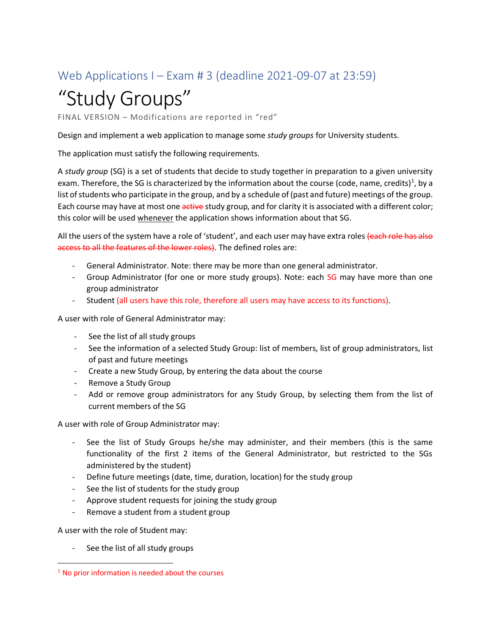## Web Applications I – Exam # 3 (deadline 2021-09-07 at 23:59)

# "Study Groups"

FINAL VERSION – Modifications are reported in "red"

Design and implement a web application to manage some *study groups* for University students.

The application must satisfy the following requirements.

A *study group* (SG) is a set of students that decide to study together in preparation to a given university exam. Therefore, the SG is characterized by the information about the course (code, name, credits)<sup>1</sup>, by a list of students who participate in the group, and by a schedule of (past and future) meetings of the group. Each course may have at most one active study group, and for clarity it is associated with a different color; this color will be used whenever the application shows information about that SG.

All the users of the system have a role of 'student', and each user may have extra roles (each role has also access to all the features of the lower roles). The defined roles are:

- General Administrator. Note: there may be more than one general administrator.
- Group Administrator (for one or more study groups). Note: each SG may have more than one group administrator
- Student (all users have this role, therefore all users may have access to its functions).

A user with role of General Administrator may:

- See the list of all study groups
- See the information of a selected Study Group: list of members, list of group administrators, list of past and future meetings
- Create a new Study Group, by entering the data about the course
- Remove a Study Group
- Add or remove group administrators for any Study Group, by selecting them from the list of current members of the SG

A user with role of Group Administrator may:

- See the list of Study Groups he/she may administer, and their members (this is the same functionality of the first 2 items of the General Administrator, but restricted to the SGs administered by the student)
- Define future meetings (date, time, duration, location) for the study group
- See the list of students for the study group
- Approve student requests for joining the study group
- Remove a student from a student group

A user with the role of Student may:

See the list of all study groups

 $1$  No prior information is needed about the courses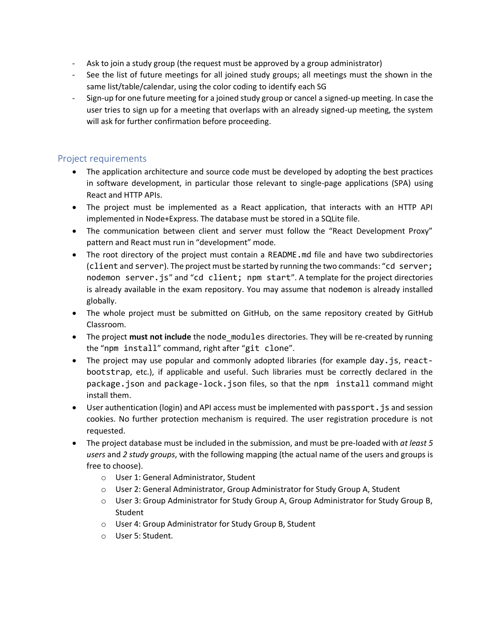- Ask to join a study group (the request must be approved by a group administrator)
- See the list of future meetings for all joined study groups; all meetings must the shown in the same list/table/calendar, using the color coding to identify each SG
- Sign-up for one future meeting for a joined study group or cancel a signed-up meeting. In case the user tries to sign up for a meeting that overlaps with an already signed-up meeting, the system will ask for further confirmation before proceeding.

#### Project requirements

- The application architecture and source code must be developed by adopting the best practices in software development, in particular those relevant to single-page applications (SPA) using React and HTTP APIs.
- The project must be implemented as a React application, that interacts with an HTTP API implemented in Node+Express. The database must be stored in a SQLite file.
- The communication between client and server must follow the "React Development Proxy" pattern and React must run in "development" mode.
- The root directory of the project must contain a README.md file and have two subdirectories (client and server). The project must be started by running the two commands: "cd server; nodemon server.js" and "cd client; npm start". A template for the project directories is already available in the exam repository. You may assume that nodemon is already installed globally.
- The whole project must be submitted on GitHub, on the same repository created by GitHub Classroom.
- The project must not include the node\_modules directories. They will be re-created by running the "npm install" command, right after "git clone".
- The project may use popular and commonly adopted libraries (for example day. is, reactbootstrap, etc.), if applicable and useful. Such libraries must be correctly declared in the package.json and package-lock.json files, so that the npm install command might install them.
- User authentication (login) and API access must be implemented with passport. js and session cookies. No further protection mechanism is required. The user registration procedure is not requested.
- The project database must be included in the submission, and must be pre-loaded with *at least 5 users* and *2 study groups*, with the following mapping (the actual name of the users and groups is free to choose).
	- o User 1: General Administrator, Student
	- o User 2: General Administrator, Group Administrator for Study Group A, Student
	- o User 3: Group Administrator for Study Group A, Group Administrator for Study Group B, Student
	- o User 4: Group Administrator for Study Group B, Student
	- o User 5: Student.